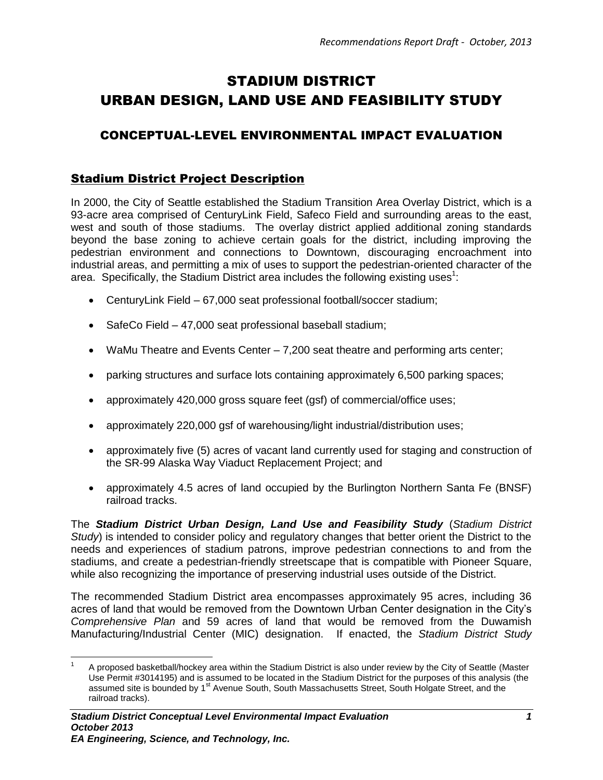# STADIUM DISTRICT URBAN DESIGN, LAND USE AND FEASIBILITY STUDY

# CONCEPTUAL-LEVEL ENVIRONMENTAL IMPACT EVALUATION

# Stadium District Project Description

In 2000, the City of Seattle established the Stadium Transition Area Overlay District, which is a 93-acre area comprised of CenturyLink Field, Safeco Field and surrounding areas to the east, west and south of those stadiums. The overlay district applied additional zoning standards beyond the base zoning to achieve certain goals for the district, including improving the pedestrian environment and connections to Downtown, discouraging encroachment into industrial areas, and permitting a mix of uses to support the pedestrian-oriented character of the area. Specifically, the Stadium District area includes the following existing uses<sup>1</sup>:

- CenturyLink Field 67,000 seat professional football/soccer stadium;
- SafeCo Field 47,000 seat professional baseball stadium;
- WaMu Theatre and Events Center 7,200 seat theatre and performing arts center;
- parking structures and surface lots containing approximately 6,500 parking spaces;
- approximately 420,000 gross square feet (gsf) of commercial/office uses;
- approximately 220,000 gsf of warehousing/light industrial/distribution uses;
- approximately five (5) acres of vacant land currently used for staging and construction of the SR-99 Alaska Way Viaduct Replacement Project; and
- approximately 4.5 acres of land occupied by the Burlington Northern Santa Fe (BNSF) railroad tracks.

The *Stadium District Urban Design, Land Use and Feasibility Study* (*Stadium District Study*) is intended to consider policy and regulatory changes that better orient the District to the needs and experiences of stadium patrons, improve pedestrian connections to and from the stadiums, and create a pedestrian-friendly streetscape that is compatible with Pioneer Square, while also recognizing the importance of preserving industrial uses outside of the District.

The recommended Stadium District area encompasses approximately 95 acres, including 36 acres of land that would be removed from the Downtown Urban Center designation in the City's *Comprehensive Plan* and 59 acres of land that would be removed from the Duwamish Manufacturing/Industrial Center (MIC) designation. If enacted, the *Stadium District Study*

 $\overline{\phantom{a}}$ 1 A proposed basketball/hockey area within the Stadium District is also under review by the City of Seattle (Master Use Permit #3014195) and is assumed to be located in the Stadium District for the purposes of this analysis (the assumed site is bounded by 1<sup>st</sup> Avenue South, South Massachusetts Street, South Holgate Street, and the railroad tracks).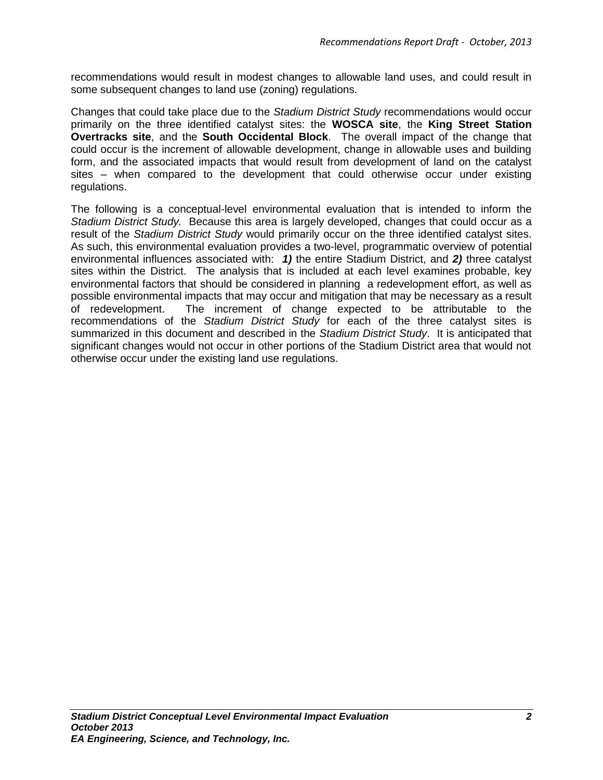recommendations would result in modest changes to allowable land uses, and could result in some subsequent changes to land use (zoning) regulations.

Changes that could take place due to the *Stadium District Study* recommendations would occur primarily on the three identified catalyst sites: the **WOSCA site**, the **King Street Station Overtracks site**, and the **South Occidental Block**. The overall impact of the change that could occur is the increment of allowable development, change in allowable uses and building form, and the associated impacts that would result from development of land on the catalyst sites – when compared to the development that could otherwise occur under existing regulations.

The following is a conceptual-level environmental evaluation that is intended to inform the *Stadium District Study.* Because this area is largely developed, changes that could occur as a result of the *Stadium District Study* would primarily occur on the three identified catalyst sites. As such, this environmental evaluation provides a two-level, programmatic overview of potential environmental influences associated with: *1)* the entire Stadium District, and *2)* three catalyst sites within the District. The analysis that is included at each level examines probable, key environmental factors that should be considered in planning a redevelopment effort, as well as possible environmental impacts that may occur and mitigation that may be necessary as a result of redevelopment. The increment of change expected to be attributable to the recommendations of the *Stadium District Study* for each of the three catalyst sites is summarized in this document and described in the *Stadium District Study*. It is anticipated that significant changes would not occur in other portions of the Stadium District area that would not otherwise occur under the existing land use regulations.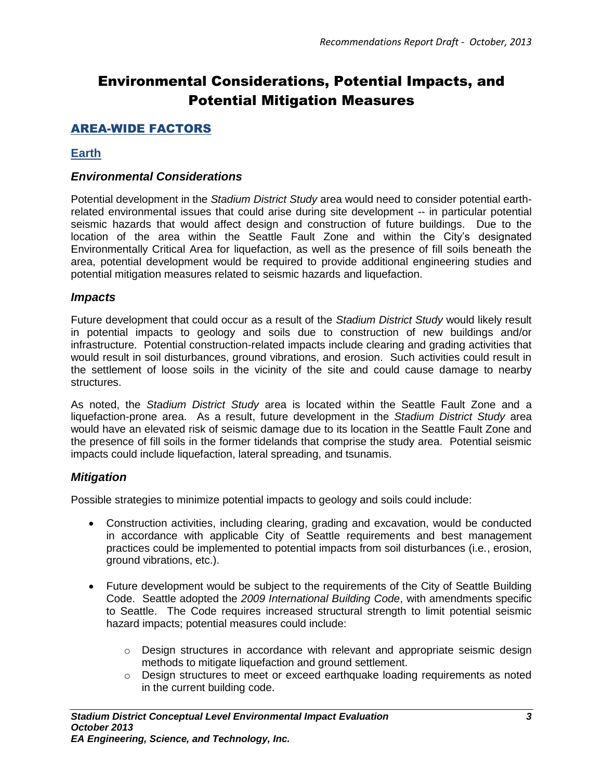# Environmental Considerations, Potential Impacts, and Potential Mitigation Measures

# AREA-WIDE FACTORS

### **Earth**

### *Environmental Considerations*

Potential development in the *Stadium District Study* area would need to consider potential earthrelated environmental issues that could arise during site development -- in particular potential seismic hazards that would affect design and construction of future buildings. Due to the location of the area within the Seattle Fault Zone and within the City's designated Environmentally Critical Area for liquefaction, as well as the presence of fill soils beneath the area, potential development would be required to provide additional engineering studies and potential mitigation measures related to seismic hazards and liquefaction.

### *Impacts*

Future development that could occur as a result of the *Stadium District Study* would likely result in potential impacts to geology and soils due to construction of new buildings and/or infrastructure. Potential construction-related impacts include clearing and grading activities that would result in soil disturbances, ground vibrations, and erosion. Such activities could result in the settlement of loose soils in the vicinity of the site and could cause damage to nearby structures.

As noted, the *Stadium District Study* area is located within the Seattle Fault Zone and a liquefaction-prone area. As a result, future development in the *Stadium District Study* area would have an elevated risk of seismic damage due to its location in the Seattle Fault Zone and the presence of fill soils in the former tidelands that comprise the study area. Potential seismic impacts could include liquefaction, lateral spreading, and tsunamis.

### *Mitigation*

Possible strategies to minimize potential impacts to geology and soils could include:

- Construction activities, including clearing, grading and excavation, would be conducted in accordance with applicable City of Seattle requirements and best management practices could be implemented to potential impacts from soil disturbances (i.e., erosion, ground vibrations, etc.).
- Future development would be subject to the requirements of the City of Seattle Building Code. Seattle adopted the *2009 International Building Code*, with amendments specific to Seattle. The Code requires increased structural strength to limit potential seismic hazard impacts; potential measures could include:
	- o Design structures in accordance with relevant and appropriate seismic design methods to mitigate liquefaction and ground settlement.
	- o Design structures to meet or exceed earthquake loading requirements as noted in the current building code.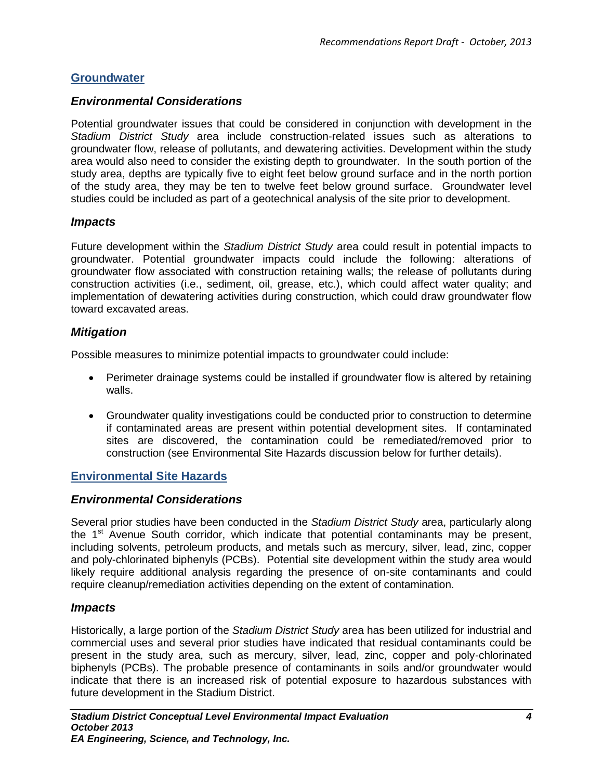# **Groundwater**

# *Environmental Considerations*

Potential groundwater issues that could be considered in conjunction with development in the *Stadium District Study* area include construction-related issues such as alterations to groundwater flow, release of pollutants, and dewatering activities. Development within the study area would also need to consider the existing depth to groundwater. In the south portion of the study area, depths are typically five to eight feet below ground surface and in the north portion of the study area, they may be ten to twelve feet below ground surface. Groundwater level studies could be included as part of a geotechnical analysis of the site prior to development.

### *Impacts*

Future development within the *Stadium District Study* area could result in potential impacts to groundwater. Potential groundwater impacts could include the following: alterations of groundwater flow associated with construction retaining walls; the release of pollutants during construction activities (i.e., sediment, oil, grease, etc.), which could affect water quality; and implementation of dewatering activities during construction, which could draw groundwater flow toward excavated areas.

### *Mitigation*

Possible measures to minimize potential impacts to groundwater could include:

- Perimeter drainage systems could be installed if groundwater flow is altered by retaining walls.
- Groundwater quality investigations could be conducted prior to construction to determine if contaminated areas are present within potential development sites. If contaminated sites are discovered, the contamination could be remediated/removed prior to construction (see Environmental Site Hazards discussion below for further details).

# **Environmental Site Hazards**

### *Environmental Considerations*

Several prior studies have been conducted in the *Stadium District Study* area, particularly along the  $1<sup>st</sup>$  Avenue South corridor, which indicate that potential contaminants may be present, including solvents, petroleum products, and metals such as mercury, silver, lead, zinc, copper and poly-chlorinated biphenyls (PCBs). Potential site development within the study area would likely require additional analysis regarding the presence of on-site contaminants and could require cleanup/remediation activities depending on the extent of contamination.

### *Impacts*

Historically, a large portion of the *Stadium District Study* area has been utilized for industrial and commercial uses and several prior studies have indicated that residual contaminants could be present in the study area, such as mercury, silver, lead, zinc, copper and poly-chlorinated biphenyls (PCBs). The probable presence of contaminants in soils and/or groundwater would indicate that there is an increased risk of potential exposure to hazardous substances with future development in the Stadium District.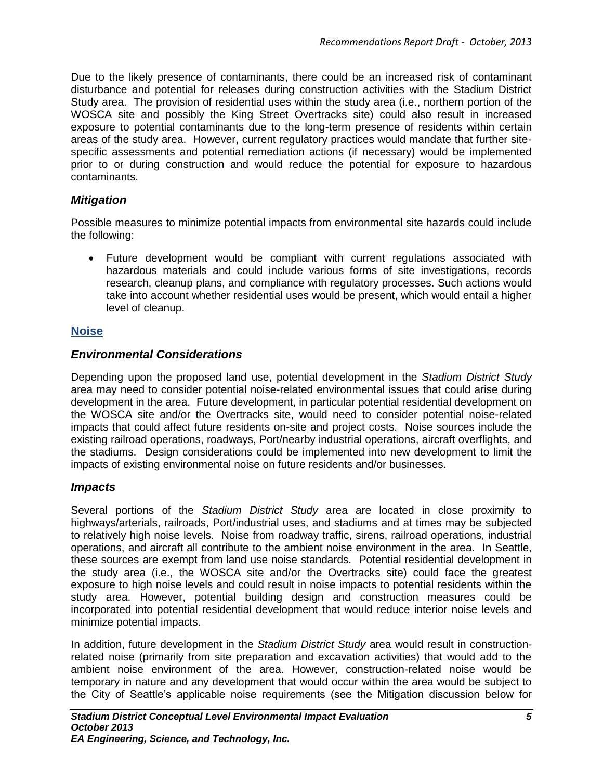Due to the likely presence of contaminants, there could be an increased risk of contaminant disturbance and potential for releases during construction activities with the Stadium District Study area. The provision of residential uses within the study area (i.e., northern portion of the WOSCA site and possibly the King Street Overtracks site) could also result in increased exposure to potential contaminants due to the long-term presence of residents within certain areas of the study area. However, current regulatory practices would mandate that further sitespecific assessments and potential remediation actions (if necessary) would be implemented prior to or during construction and would reduce the potential for exposure to hazardous contaminants.

# *Mitigation*

Possible measures to minimize potential impacts from environmental site hazards could include the following:

 Future development would be compliant with current regulations associated with hazardous materials and could include various forms of site investigations, records research, cleanup plans, and compliance with regulatory processes. Such actions would take into account whether residential uses would be present, which would entail a higher level of cleanup.

# **Noise**

# *Environmental Considerations*

Depending upon the proposed land use, potential development in the *Stadium District Study* area may need to consider potential noise-related environmental issues that could arise during development in the area. Future development, in particular potential residential development on the WOSCA site and/or the Overtracks site, would need to consider potential noise-related impacts that could affect future residents on-site and project costs. Noise sources include the existing railroad operations, roadways, Port/nearby industrial operations, aircraft overflights, and the stadiums. Design considerations could be implemented into new development to limit the impacts of existing environmental noise on future residents and/or businesses.

# *Impacts*

Several portions of the *Stadium District Study* area are located in close proximity to highways/arterials, railroads, Port/industrial uses, and stadiums and at times may be subjected to relatively high noise levels. Noise from roadway traffic, sirens, railroad operations, industrial operations, and aircraft all contribute to the ambient noise environment in the area. In Seattle, these sources are exempt from land use noise standards. Potential residential development in the study area (i.e., the WOSCA site and/or the Overtracks site) could face the greatest exposure to high noise levels and could result in noise impacts to potential residents within the study area. However, potential building design and construction measures could be incorporated into potential residential development that would reduce interior noise levels and minimize potential impacts.

In addition, future development in the *Stadium District Study* area would result in constructionrelated noise (primarily from site preparation and excavation activities) that would add to the ambient noise environment of the area. However, construction-related noise would be temporary in nature and any development that would occur within the area would be subject to the City of Seattle's applicable noise requirements (see the Mitigation discussion below for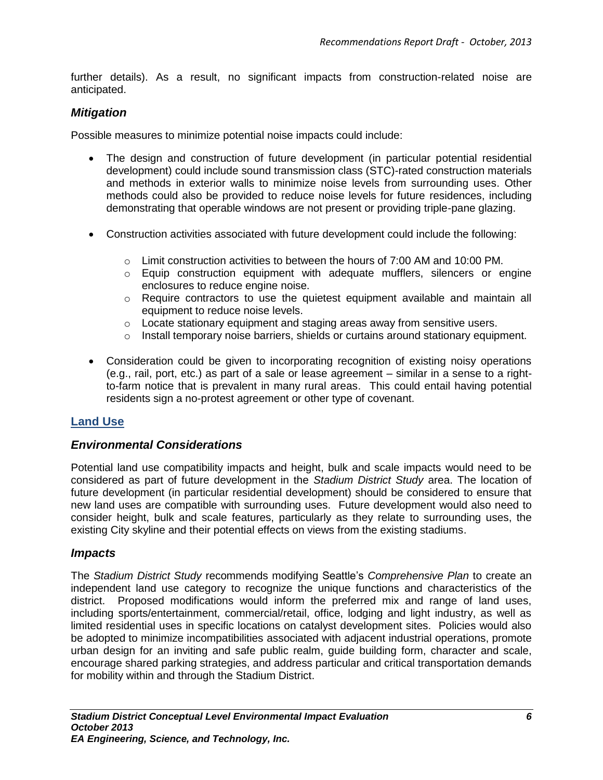further details). As a result, no significant impacts from construction-related noise are anticipated.

### *Mitigation*

Possible measures to minimize potential noise impacts could include:

- The design and construction of future development (in particular potential residential development) could include sound transmission class (STC)-rated construction materials and methods in exterior walls to minimize noise levels from surrounding uses. Other methods could also be provided to reduce noise levels for future residences, including demonstrating that operable windows are not present or providing triple-pane glazing.
- Construction activities associated with future development could include the following:
	- $\circ$  Limit construction activities to between the hours of 7:00 AM and 10:00 PM.
	- $\circ$  Equip construction equipment with adequate mufflers, silencers or engine enclosures to reduce engine noise.
	- o Require contractors to use the quietest equipment available and maintain all equipment to reduce noise levels.
	- o Locate stationary equipment and staging areas away from sensitive users.
	- $\circ$  Install temporary noise barriers, shields or curtains around stationary equipment.
- Consideration could be given to incorporating recognition of existing noisy operations (e.g., rail, port, etc.) as part of a sale or lease agreement – similar in a sense to a rightto-farm notice that is prevalent in many rural areas. This could entail having potential residents sign a no-protest agreement or other type of covenant.

### **Land Use**

### *Environmental Considerations*

Potential land use compatibility impacts and height, bulk and scale impacts would need to be considered as part of future development in the *Stadium District Study* area. The location of future development (in particular residential development) should be considered to ensure that new land uses are compatible with surrounding uses. Future development would also need to consider height, bulk and scale features, particularly as they relate to surrounding uses, the existing City skyline and their potential effects on views from the existing stadiums.

### *Impacts*

The *Stadium District Study* recommends modifying Seattle's *Comprehensive Plan* to create an independent land use category to recognize the unique functions and characteristics of the district. Proposed modifications would inform the preferred mix and range of land uses, including sports/entertainment, commercial/retail, office, lodging and light industry, as well as limited residential uses in specific locations on catalyst development sites. Policies would also be adopted to minimize incompatibilities associated with adjacent industrial operations, promote urban design for an inviting and safe public realm, guide building form, character and scale, encourage shared parking strategies, and address particular and critical transportation demands for mobility within and through the Stadium District.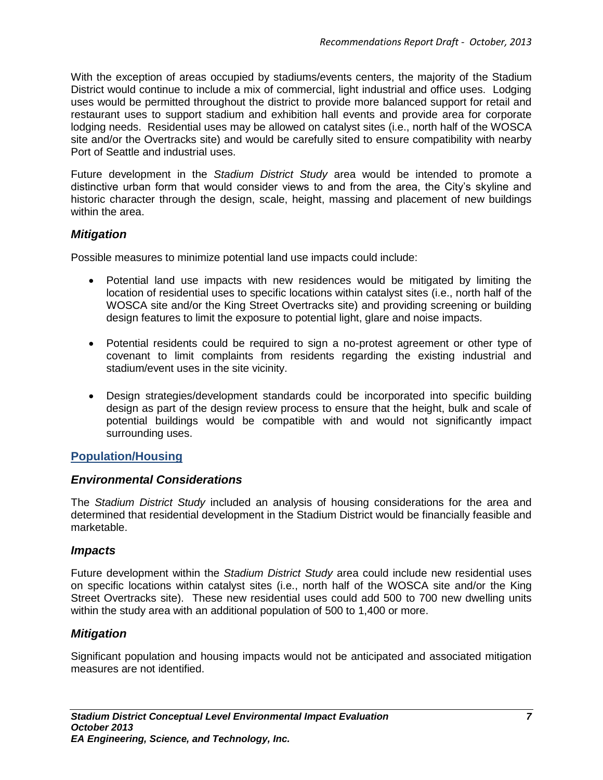With the exception of areas occupied by stadiums/events centers, the majority of the Stadium District would continue to include a mix of commercial, light industrial and office uses. Lodging uses would be permitted throughout the district to provide more balanced support for retail and restaurant uses to support stadium and exhibition hall events and provide area for corporate lodging needs. Residential uses may be allowed on catalyst sites (i.e., north half of the WOSCA site and/or the Overtracks site) and would be carefully sited to ensure compatibility with nearby Port of Seattle and industrial uses.

Future development in the *Stadium District Study* area would be intended to promote a distinctive urban form that would consider views to and from the area, the City's skyline and historic character through the design, scale, height, massing and placement of new buildings within the area.

### *Mitigation*

Possible measures to minimize potential land use impacts could include:

- Potential land use impacts with new residences would be mitigated by limiting the location of residential uses to specific locations within catalyst sites (i.e., north half of the WOSCA site and/or the King Street Overtracks site) and providing screening or building design features to limit the exposure to potential light, glare and noise impacts.
- Potential residents could be required to sign a no-protest agreement or other type of covenant to limit complaints from residents regarding the existing industrial and stadium/event uses in the site vicinity.
- Design strategies/development standards could be incorporated into specific building design as part of the design review process to ensure that the height, bulk and scale of potential buildings would be compatible with and would not significantly impact surrounding uses.

### **Population/Housing**

### *Environmental Considerations*

The *Stadium District Study* included an analysis of housing considerations for the area and determined that residential development in the Stadium District would be financially feasible and marketable.

### *Impacts*

Future development within the *Stadium District Study* area could include new residential uses on specific locations within catalyst sites (i.e., north half of the WOSCA site and/or the King Street Overtracks site). These new residential uses could add 500 to 700 new dwelling units within the study area with an additional population of 500 to 1,400 or more.

### *Mitigation*

Significant population and housing impacts would not be anticipated and associated mitigation measures are not identified.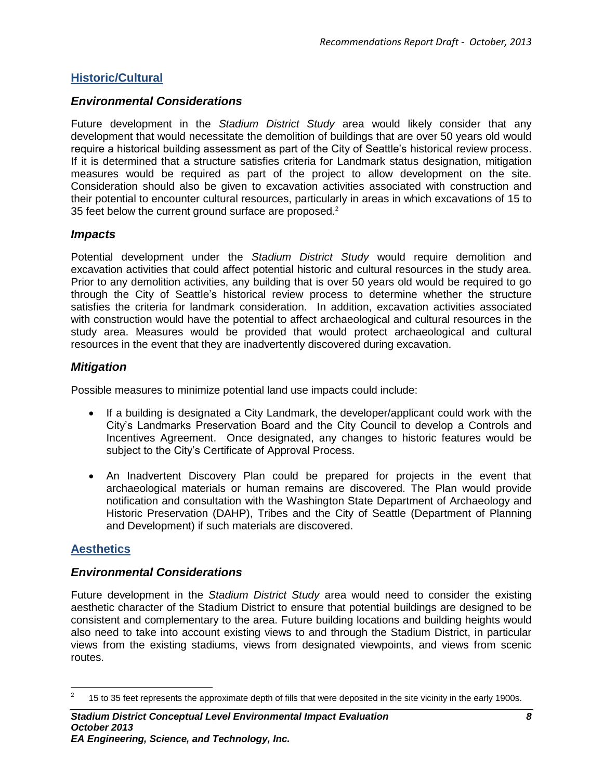# **Historic/Cultural**

### *Environmental Considerations*

Future development in the *Stadium District Study* area would likely consider that any development that would necessitate the demolition of buildings that are over 50 years old would require a historical building assessment as part of the City of Seattle's historical review process. If it is determined that a structure satisfies criteria for Landmark status designation, mitigation measures would be required as part of the project to allow development on the site. Consideration should also be given to excavation activities associated with construction and their potential to encounter cultural resources, particularly in areas in which excavations of 15 to 35 feet below the current ground surface are proposed.<sup>2</sup>

### *Impacts*

Potential development under the *Stadium District Study* would require demolition and excavation activities that could affect potential historic and cultural resources in the study area. Prior to any demolition activities, any building that is over 50 years old would be required to go through the City of Seattle's historical review process to determine whether the structure satisfies the criteria for landmark consideration. In addition, excavation activities associated with construction would have the potential to affect archaeological and cultural resources in the study area. Measures would be provided that would protect archaeological and cultural resources in the event that they are inadvertently discovered during excavation.

### *Mitigation*

Possible measures to minimize potential land use impacts could include:

- If a building is designated a City Landmark, the developer/applicant could work with the City's Landmarks Preservation Board and the City Council to develop a Controls and Incentives Agreement. Once designated, any changes to historic features would be subject to the City's Certificate of Approval Process.
- An Inadvertent Discovery Plan could be prepared for projects in the event that archaeological materials or human remains are discovered. The Plan would provide notification and consultation with the Washington State Department of Archaeology and Historic Preservation (DAHP), Tribes and the City of Seattle (Department of Planning and Development) if such materials are discovered.

### **Aesthetics**

### *Environmental Considerations*

Future development in the *Stadium District Study* area would need to consider the existing aesthetic character of the Stadium District to ensure that potential buildings are designed to be consistent and complementary to the area. Future building locations and building heights would also need to take into account existing views to and through the Stadium District, in particular views from the existing stadiums, views from designated viewpoints, and views from scenic routes.

 $\frac{1}{2}$ 15 to 35 feet represents the approximate depth of fills that were deposited in the site vicinity in the early 1900s.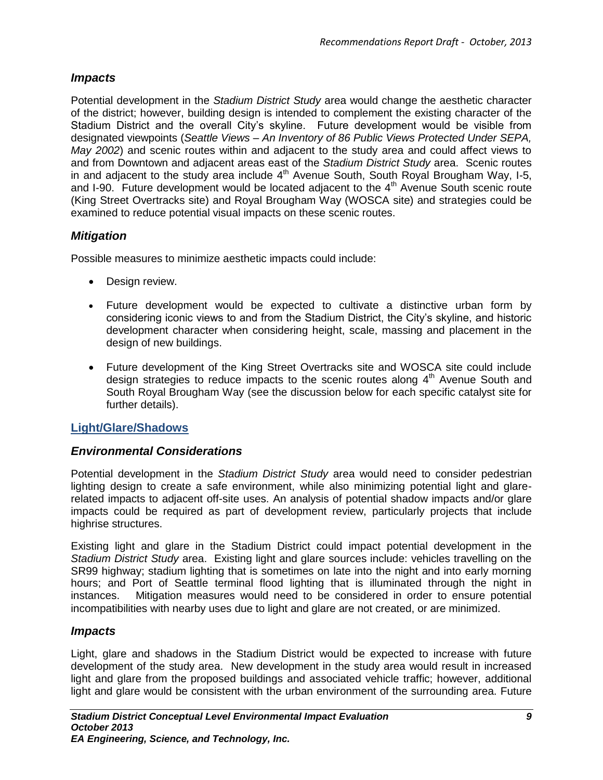# *Impacts*

Potential development in the *Stadium District Study* area would change the aesthetic character of the district; however, building design is intended to complement the existing character of the Stadium District and the overall City's skyline. Future development would be visible from designated viewpoints (*Seattle Views – An Inventory of 86 Public Views Protected Under SEPA, May 2002*) and scenic routes within and adjacent to the study area and could affect views to and from Downtown and adjacent areas east of the *Stadium District Study* area. Scenic routes in and adjacent to the study area include  $4<sup>th</sup>$  Avenue South, South Royal Brougham Way, I-5, and I-90. Future development would be located adjacent to the 4<sup>th</sup> Avenue South scenic route (King Street Overtracks site) and Royal Brougham Way (WOSCA site) and strategies could be examined to reduce potential visual impacts on these scenic routes.

# *Mitigation*

Possible measures to minimize aesthetic impacts could include:

- Design review.
- Future development would be expected to cultivate a distinctive urban form by considering iconic views to and from the Stadium District, the City's skyline, and historic development character when considering height, scale, massing and placement in the design of new buildings.
- Future development of the King Street Overtracks site and WOSCA site could include design strategies to reduce impacts to the scenic routes along  $4<sup>th</sup>$  Avenue South and South Royal Brougham Way (see the discussion below for each specific catalyst site for further details).

# **Light/Glare/Shadows**

# *Environmental Considerations*

Potential development in the *Stadium District Study* area would need to consider pedestrian lighting design to create a safe environment, while also minimizing potential light and glarerelated impacts to adjacent off-site uses. An analysis of potential shadow impacts and/or glare impacts could be required as part of development review, particularly projects that include highrise structures.

Existing light and glare in the Stadium District could impact potential development in the *Stadium District Study* area. Existing light and glare sources include: vehicles travelling on the SR99 highway; stadium lighting that is sometimes on late into the night and into early morning hours; and Port of Seattle terminal flood lighting that is illuminated through the night in instances. Mitigation measures would need to be considered in order to ensure potential incompatibilities with nearby uses due to light and glare are not created, or are minimized.

# *Impacts*

Light, glare and shadows in the Stadium District would be expected to increase with future development of the study area. New development in the study area would result in increased light and glare from the proposed buildings and associated vehicle traffic; however, additional light and glare would be consistent with the urban environment of the surrounding area. Future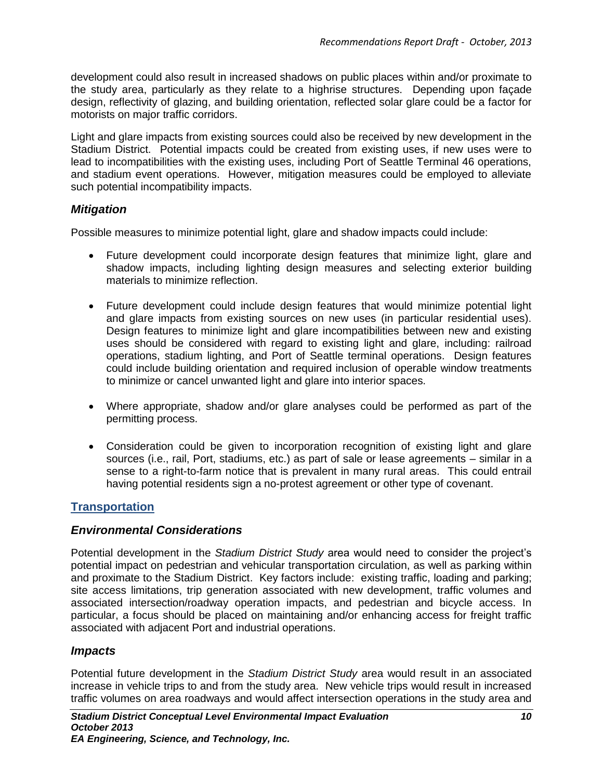development could also result in increased shadows on public places within and/or proximate to the study area, particularly as they relate to a highrise structures. Depending upon façade design, reflectivity of glazing, and building orientation, reflected solar glare could be a factor for motorists on major traffic corridors.

Light and glare impacts from existing sources could also be received by new development in the Stadium District. Potential impacts could be created from existing uses, if new uses were to lead to incompatibilities with the existing uses, including Port of Seattle Terminal 46 operations, and stadium event operations. However, mitigation measures could be employed to alleviate such potential incompatibility impacts.

# *Mitigation*

Possible measures to minimize potential light, glare and shadow impacts could include:

- Future development could incorporate design features that minimize light, glare and shadow impacts, including lighting design measures and selecting exterior building materials to minimize reflection.
- Future development could include design features that would minimize potential light and glare impacts from existing sources on new uses (in particular residential uses). Design features to minimize light and glare incompatibilities between new and existing uses should be considered with regard to existing light and glare, including: railroad operations, stadium lighting, and Port of Seattle terminal operations. Design features could include building orientation and required inclusion of operable window treatments to minimize or cancel unwanted light and glare into interior spaces.
- Where appropriate, shadow and/or glare analyses could be performed as part of the permitting process.
- Consideration could be given to incorporation recognition of existing light and glare sources (i.e., rail, Port, stadiums, etc.) as part of sale or lease agreements – similar in a sense to a right-to-farm notice that is prevalent in many rural areas. This could entrail having potential residents sign a no-protest agreement or other type of covenant.

# **Transportation**

# *Environmental Considerations*

Potential development in the *Stadium District Study* area would need to consider the project's potential impact on pedestrian and vehicular transportation circulation, as well as parking within and proximate to the Stadium District. Key factors include: existing traffic, loading and parking; site access limitations, trip generation associated with new development, traffic volumes and associated intersection/roadway operation impacts, and pedestrian and bicycle access. In particular, a focus should be placed on maintaining and/or enhancing access for freight traffic associated with adjacent Port and industrial operations.

### *Impacts*

Potential future development in the *Stadium District Study* area would result in an associated increase in vehicle trips to and from the study area. New vehicle trips would result in increased traffic volumes on area roadways and would affect intersection operations in the study area and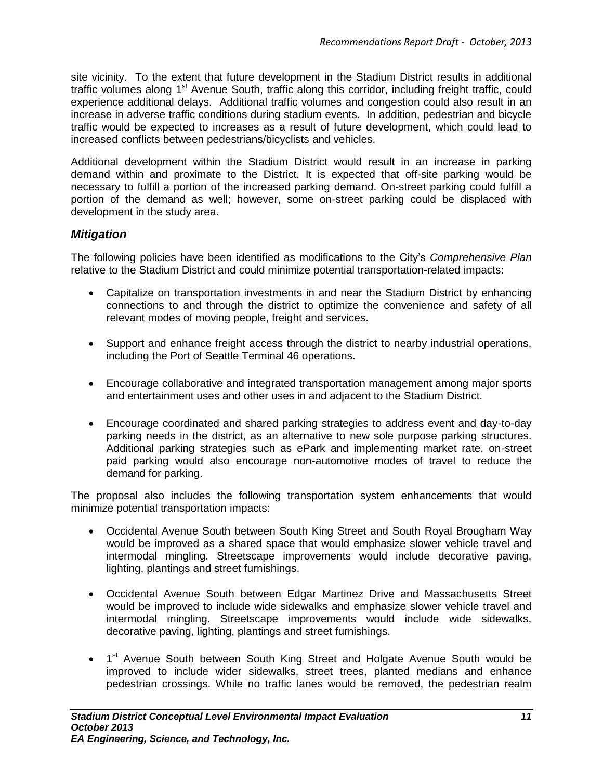site vicinity. To the extent that future development in the Stadium District results in additional traffic volumes along 1<sup>st</sup> Avenue South, traffic along this corridor, including freight traffic, could experience additional delays. Additional traffic volumes and congestion could also result in an increase in adverse traffic conditions during stadium events. In addition, pedestrian and bicycle traffic would be expected to increases as a result of future development, which could lead to increased conflicts between pedestrians/bicyclists and vehicles.

Additional development within the Stadium District would result in an increase in parking demand within and proximate to the District. It is expected that off-site parking would be necessary to fulfill a portion of the increased parking demand. On-street parking could fulfill a portion of the demand as well; however, some on-street parking could be displaced with development in the study area.

### *Mitigation*

The following policies have been identified as modifications to the City's *Comprehensive Plan* relative to the Stadium District and could minimize potential transportation-related impacts:

- Capitalize on transportation investments in and near the Stadium District by enhancing connections to and through the district to optimize the convenience and safety of all relevant modes of moving people, freight and services.
- Support and enhance freight access through the district to nearby industrial operations, including the Port of Seattle Terminal 46 operations.
- Encourage collaborative and integrated transportation management among major sports and entertainment uses and other uses in and adjacent to the Stadium District.
- Encourage coordinated and shared parking strategies to address event and day-to-day parking needs in the district, as an alternative to new sole purpose parking structures. Additional parking strategies such as ePark and implementing market rate, on-street paid parking would also encourage non-automotive modes of travel to reduce the demand for parking.

The proposal also includes the following transportation system enhancements that would minimize potential transportation impacts:

- Occidental Avenue South between South King Street and South Royal Brougham Way would be improved as a shared space that would emphasize slower vehicle travel and intermodal mingling. Streetscape improvements would include decorative paving, lighting, plantings and street furnishings.
- Occidental Avenue South between Edgar Martinez Drive and Massachusetts Street would be improved to include wide sidewalks and emphasize slower vehicle travel and intermodal mingling. Streetscape improvements would include wide sidewalks, decorative paving, lighting, plantings and street furnishings.
- 1<sup>st</sup> Avenue South between South King Street and Holgate Avenue South would be improved to include wider sidewalks, street trees, planted medians and enhance pedestrian crossings. While no traffic lanes would be removed, the pedestrian realm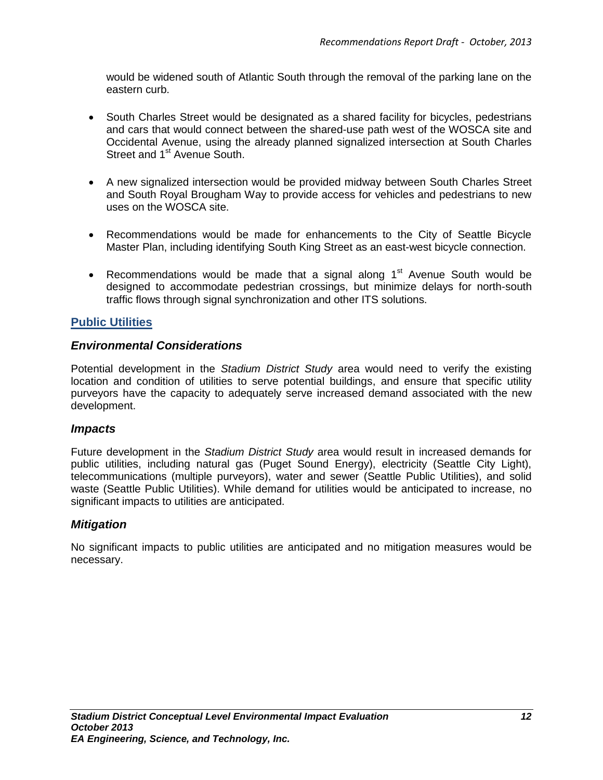would be widened south of Atlantic South through the removal of the parking lane on the eastern curb.

- South Charles Street would be designated as a shared facility for bicycles, pedestrians and cars that would connect between the shared-use path west of the WOSCA site and Occidental Avenue, using the already planned signalized intersection at South Charles Street and 1<sup>st</sup> Avenue South.
- A new signalized intersection would be provided midway between South Charles Street and South Royal Brougham Way to provide access for vehicles and pedestrians to new uses on the WOSCA site.
- Recommendations would be made for enhancements to the City of Seattle Bicycle Master Plan, including identifying South King Street as an east-west bicycle connection.
- Recommendations would be made that a signal along  $1<sup>st</sup>$  Avenue South would be designed to accommodate pedestrian crossings, but minimize delays for north-south traffic flows through signal synchronization and other ITS solutions.

### **Public Utilities**

### *Environmental Considerations*

Potential development in the *Stadium District Study* area would need to verify the existing location and condition of utilities to serve potential buildings, and ensure that specific utility purveyors have the capacity to adequately serve increased demand associated with the new development.

#### *Impacts*

Future development in the *Stadium District Study* area would result in increased demands for public utilities, including natural gas (Puget Sound Energy), electricity (Seattle City Light), telecommunications (multiple purveyors), water and sewer (Seattle Public Utilities), and solid waste (Seattle Public Utilities). While demand for utilities would be anticipated to increase, no significant impacts to utilities are anticipated.

### *Mitigation*

No significant impacts to public utilities are anticipated and no mitigation measures would be necessary.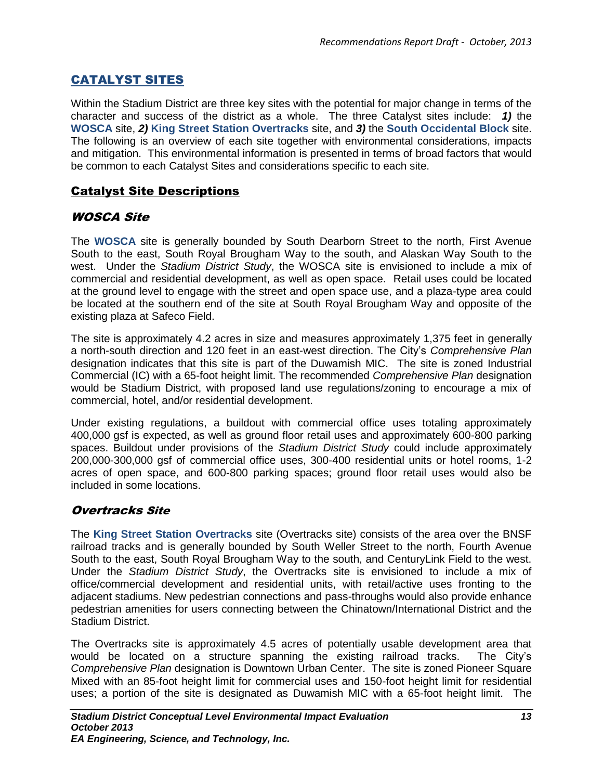# CATALYST SITES

Within the Stadium District are three key sites with the potential for major change in terms of the character and success of the district as a whole. The three Catalyst sites include: *1)* the **WOSCA** site, *2)* **King Street Station Overtracks** site, and *3)* the **South Occidental Block** site. The following is an overview of each site together with environmental considerations, impacts and mitigation. This environmental information is presented in terms of broad factors that would be common to each Catalyst Sites and considerations specific to each site.

# Catalyst Site Descriptions

# WOSCA Site

The **WOSCA** site is generally bounded by South Dearborn Street to the north, First Avenue South to the east, South Royal Brougham Way to the south, and Alaskan Way South to the west. Under the *Stadium District Study*, the WOSCA site is envisioned to include a mix of commercial and residential development, as well as open space. Retail uses could be located at the ground level to engage with the street and open space use, and a plaza-type area could be located at the southern end of the site at South Royal Brougham Way and opposite of the existing plaza at Safeco Field.

The site is approximately 4.2 acres in size and measures approximately 1,375 feet in generally a north-south direction and 120 feet in an east-west direction. The City's *Comprehensive Plan* designation indicates that this site is part of the Duwamish MIC. The site is zoned Industrial Commercial (IC) with a 65-foot height limit. The recommended *Comprehensive Plan* designation would be Stadium District, with proposed land use regulations/zoning to encourage a mix of commercial, hotel, and/or residential development.

Under existing regulations, a buildout with commercial office uses totaling approximately 400,000 gsf is expected, as well as ground floor retail uses and approximately 600-800 parking spaces. Buildout under provisions of the *Stadium District Study* could include approximately 200,000-300,000 gsf of commercial office uses, 300-400 residential units or hotel rooms, 1-2 acres of open space, and 600-800 parking spaces; ground floor retail uses would also be included in some locations.

# Overtracks Site

The **King Street Station Overtracks** site (Overtracks site) consists of the area over the BNSF railroad tracks and is generally bounded by South Weller Street to the north, Fourth Avenue South to the east, South Royal Brougham Way to the south, and CenturyLink Field to the west. Under the *Stadium District Study*, the Overtracks site is envisioned to include a mix of office/commercial development and residential units, with retail/active uses fronting to the adjacent stadiums. New pedestrian connections and pass-throughs would also provide enhance pedestrian amenities for users connecting between the Chinatown/International District and the Stadium District.

The Overtracks site is approximately 4.5 acres of potentially usable development area that would be located on a structure spanning the existing railroad tracks. The City's *Comprehensive Plan* designation is Downtown Urban Center. The site is zoned Pioneer Square Mixed with an 85-foot height limit for commercial uses and 150-foot height limit for residential uses; a portion of the site is designated as Duwamish MIC with a 65-foot height limit. The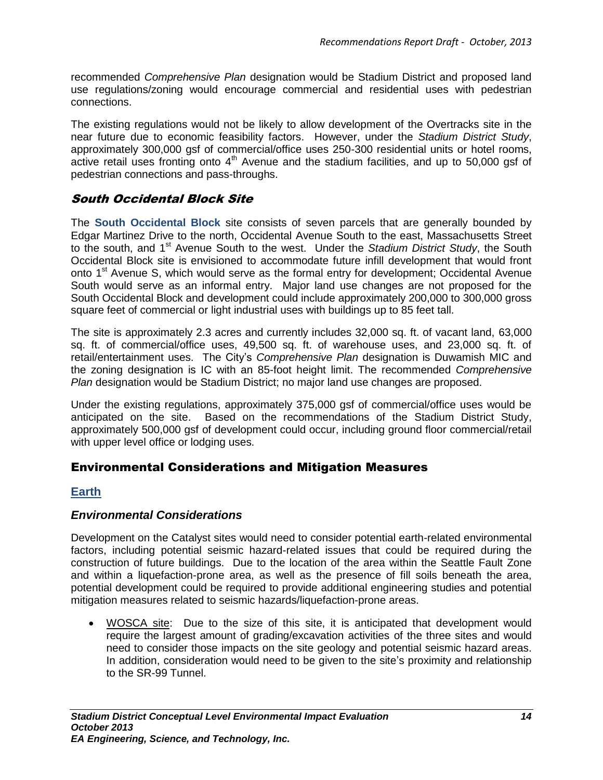recommended *Comprehensive Plan* designation would be Stadium District and proposed land use regulations/zoning would encourage commercial and residential uses with pedestrian connections.

The existing regulations would not be likely to allow development of the Overtracks site in the near future due to economic feasibility factors. However, under the *Stadium District Study*, approximately 300,000 gsf of commercial/office uses 250-300 residential units or hotel rooms, active retail uses fronting onto 4<sup>th</sup> Avenue and the stadium facilities, and up to 50,000 gsf of pedestrian connections and pass-throughs.

# South Occidental Block Site

The **South Occidental Block** site consists of seven parcels that are generally bounded by Edgar Martinez Drive to the north, Occidental Avenue South to the east, Massachusetts Street to the south, and 1<sup>st</sup> Avenue South to the west. Under the *Stadium District Study*, the South Occidental Block site is envisioned to accommodate future infill development that would front onto 1<sup>st</sup> Avenue S, which would serve as the formal entry for development; Occidental Avenue South would serve as an informal entry. Major land use changes are not proposed for the South Occidental Block and development could include approximately 200,000 to 300,000 gross square feet of commercial or light industrial uses with buildings up to 85 feet tall.

The site is approximately 2.3 acres and currently includes 32,000 sq. ft. of vacant land, 63,000 sq. ft. of commercial/office uses, 49,500 sq. ft. of warehouse uses, and 23,000 sq. ft. of retail/entertainment uses. The City's *Comprehensive Plan* designation is Duwamish MIC and the zoning designation is IC with an 85-foot height limit. The recommended *Comprehensive Plan* designation would be Stadium District; no major land use changes are proposed.

Under the existing regulations, approximately 375,000 gsf of commercial/office uses would be anticipated on the site. Based on the recommendations of the Stadium District Study, approximately 500,000 gsf of development could occur, including ground floor commercial/retail with upper level office or lodging uses.

# Environmental Considerations and Mitigation Measures

# **Earth**

### *Environmental Considerations*

Development on the Catalyst sites would need to consider potential earth-related environmental factors, including potential seismic hazard-related issues that could be required during the construction of future buildings. Due to the location of the area within the Seattle Fault Zone and within a liquefaction-prone area, as well as the presence of fill soils beneath the area, potential development could be required to provide additional engineering studies and potential mitigation measures related to seismic hazards/liquefaction-prone areas.

 WOSCA site: Due to the size of this site, it is anticipated that development would require the largest amount of grading/excavation activities of the three sites and would need to consider those impacts on the site geology and potential seismic hazard areas. In addition, consideration would need to be given to the site's proximity and relationship to the SR-99 Tunnel.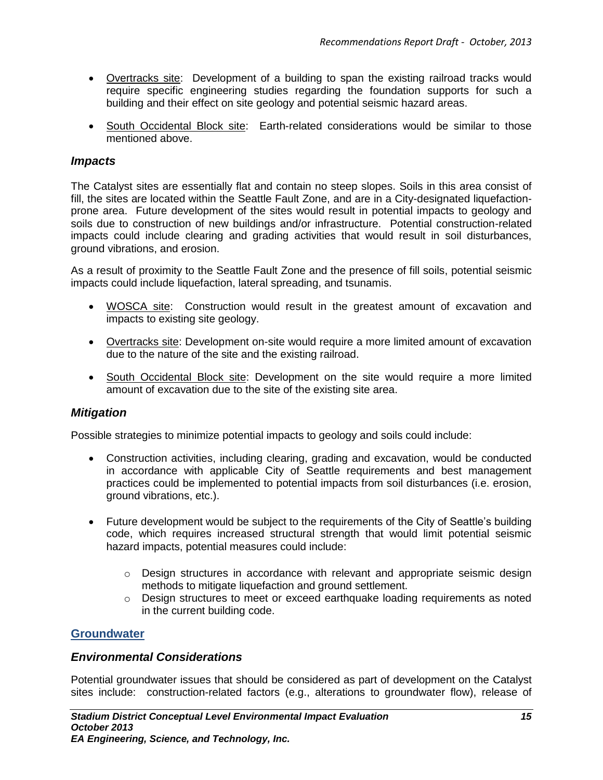- Overtracks site: Development of a building to span the existing railroad tracks would require specific engineering studies regarding the foundation supports for such a building and their effect on site geology and potential seismic hazard areas.
- South Occidental Block site: Earth-related considerations would be similar to those mentioned above.

### *Impacts*

The Catalyst sites are essentially flat and contain no steep slopes. Soils in this area consist of fill, the sites are located within the Seattle Fault Zone, and are in a City-designated liquefactionprone area. Future development of the sites would result in potential impacts to geology and soils due to construction of new buildings and/or infrastructure. Potential construction-related impacts could include clearing and grading activities that would result in soil disturbances, ground vibrations, and erosion.

As a result of proximity to the Seattle Fault Zone and the presence of fill soils, potential seismic impacts could include liquefaction, lateral spreading, and tsunamis.

- WOSCA site: Construction would result in the greatest amount of excavation and impacts to existing site geology.
- Overtracks site: Development on-site would require a more limited amount of excavation due to the nature of the site and the existing railroad.
- South Occidental Block site: Development on the site would require a more limited amount of excavation due to the site of the existing site area.

### *Mitigation*

Possible strategies to minimize potential impacts to geology and soils could include:

- Construction activities, including clearing, grading and excavation, would be conducted in accordance with applicable City of Seattle requirements and best management practices could be implemented to potential impacts from soil disturbances (i.e. erosion, ground vibrations, etc.).
- Future development would be subject to the requirements of the City of Seattle's building code, which requires increased structural strength that would limit potential seismic hazard impacts, potential measures could include:
	- $\circ$  Design structures in accordance with relevant and appropriate seismic design methods to mitigate liquefaction and ground settlement.
	- o Design structures to meet or exceed earthquake loading requirements as noted in the current building code.

### **Groundwater**

### *Environmental Considerations*

Potential groundwater issues that should be considered as part of development on the Catalyst sites include: construction-related factors (e.g., alterations to groundwater flow), release of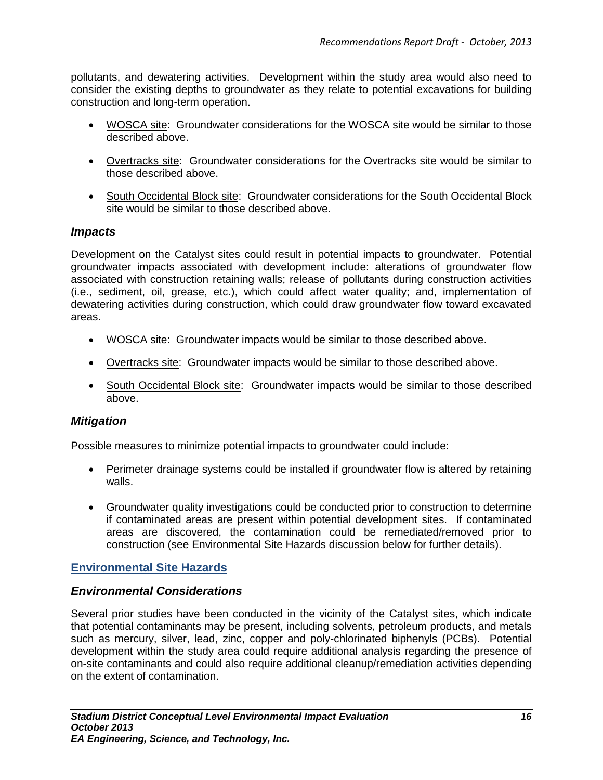pollutants, and dewatering activities. Development within the study area would also need to consider the existing depths to groundwater as they relate to potential excavations for building construction and long-term operation.

- WOSCA site: Groundwater considerations for the WOSCA site would be similar to those described above.
- Overtracks site: Groundwater considerations for the Overtracks site would be similar to those described above.
- South Occidental Block site: Groundwater considerations for the South Occidental Block site would be similar to those described above.

### *Impacts*

Development on the Catalyst sites could result in potential impacts to groundwater. Potential groundwater impacts associated with development include: alterations of groundwater flow associated with construction retaining walls; release of pollutants during construction activities (i.e., sediment, oil, grease, etc.), which could affect water quality; and, implementation of dewatering activities during construction, which could draw groundwater flow toward excavated areas.

- WOSCA site: Groundwater impacts would be similar to those described above.
- Overtracks site: Groundwater impacts would be similar to those described above.
- South Occidental Block site: Groundwater impacts would be similar to those described above.

### *Mitigation*

Possible measures to minimize potential impacts to groundwater could include:

- Perimeter drainage systems could be installed if groundwater flow is altered by retaining walls.
- Groundwater quality investigations could be conducted prior to construction to determine if contaminated areas are present within potential development sites. If contaminated areas are discovered, the contamination could be remediated/removed prior to construction (see Environmental Site Hazards discussion below for further details).

# **Environmental Site Hazards**

### *Environmental Considerations*

Several prior studies have been conducted in the vicinity of the Catalyst sites, which indicate that potential contaminants may be present, including solvents, petroleum products, and metals such as mercury, silver, lead, zinc, copper and poly-chlorinated biphenyls (PCBs). Potential development within the study area could require additional analysis regarding the presence of on-site contaminants and could also require additional cleanup/remediation activities depending on the extent of contamination.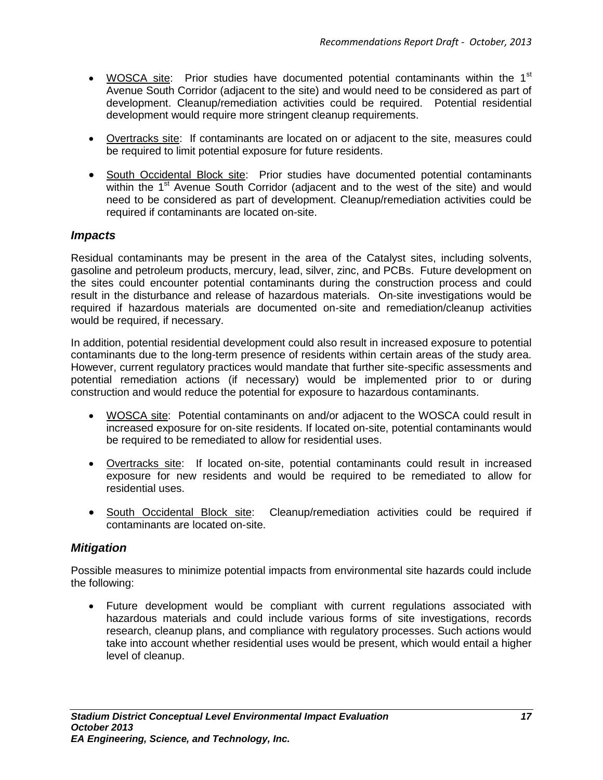- WOSCA site: Prior studies have documented potential contaminants within the 1<sup>st</sup> Avenue South Corridor (adjacent to the site) and would need to be considered as part of development. Cleanup/remediation activities could be required. Potential residential development would require more stringent cleanup requirements.
- Overtracks site: If contaminants are located on or adjacent to the site, measures could be required to limit potential exposure for future residents.
- South Occidental Block site: Prior studies have documented potential contaminants within the  $1<sup>st</sup>$  Avenue South Corridor (adjacent and to the west of the site) and would need to be considered as part of development. Cleanup/remediation activities could be required if contaminants are located on-site.

### *Impacts*

Residual contaminants may be present in the area of the Catalyst sites, including solvents, gasoline and petroleum products, mercury, lead, silver, zinc, and PCBs. Future development on the sites could encounter potential contaminants during the construction process and could result in the disturbance and release of hazardous materials. On-site investigations would be required if hazardous materials are documented on-site and remediation/cleanup activities would be required, if necessary.

In addition, potential residential development could also result in increased exposure to potential contaminants due to the long-term presence of residents within certain areas of the study area. However, current regulatory practices would mandate that further site-specific assessments and potential remediation actions (if necessary) would be implemented prior to or during construction and would reduce the potential for exposure to hazardous contaminants.

- WOSCA site: Potential contaminants on and/or adjacent to the WOSCA could result in increased exposure for on-site residents. If located on-site, potential contaminants would be required to be remediated to allow for residential uses.
- Overtracks site: If located on-site, potential contaminants could result in increased exposure for new residents and would be required to be remediated to allow for residential uses.
- South Occidental Block site: Cleanup/remediation activities could be required if contaminants are located on-site.

### *Mitigation*

Possible measures to minimize potential impacts from environmental site hazards could include the following:

 Future development would be compliant with current regulations associated with hazardous materials and could include various forms of site investigations, records research, cleanup plans, and compliance with regulatory processes. Such actions would take into account whether residential uses would be present, which would entail a higher level of cleanup.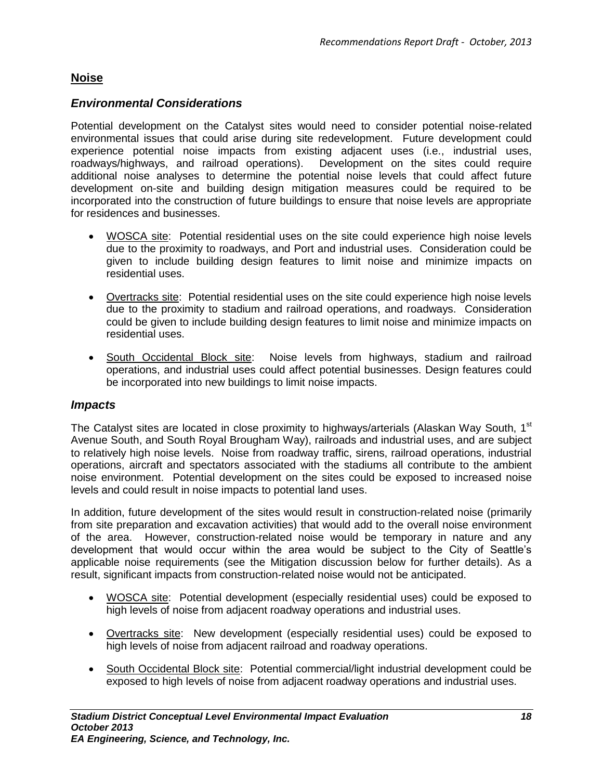### **Noise**

### *Environmental Considerations*

Potential development on the Catalyst sites would need to consider potential noise-related environmental issues that could arise during site redevelopment. Future development could experience potential noise impacts from existing adjacent uses (i.e., industrial uses, roadways/highways, and railroad operations). Development on the sites could require additional noise analyses to determine the potential noise levels that could affect future development on-site and building design mitigation measures could be required to be incorporated into the construction of future buildings to ensure that noise levels are appropriate for residences and businesses.

- WOSCA site: Potential residential uses on the site could experience high noise levels due to the proximity to roadways, and Port and industrial uses. Consideration could be given to include building design features to limit noise and minimize impacts on residential uses.
- Overtracks site: Potential residential uses on the site could experience high noise levels due to the proximity to stadium and railroad operations, and roadways. Consideration could be given to include building design features to limit noise and minimize impacts on residential uses.
- South Occidental Block site: Noise levels from highways, stadium and railroad operations, and industrial uses could affect potential businesses. Design features could be incorporated into new buildings to limit noise impacts.

### *Impacts*

The Catalyst sites are located in close proximity to highways/arterials (Alaskan Way South, 1<sup>st</sup> Avenue South, and South Royal Brougham Way), railroads and industrial uses, and are subject to relatively high noise levels. Noise from roadway traffic, sirens, railroad operations, industrial operations, aircraft and spectators associated with the stadiums all contribute to the ambient noise environment. Potential development on the sites could be exposed to increased noise levels and could result in noise impacts to potential land uses.

In addition, future development of the sites would result in construction-related noise (primarily from site preparation and excavation activities) that would add to the overall noise environment of the area. However, construction-related noise would be temporary in nature and any development that would occur within the area would be subject to the City of Seattle's applicable noise requirements (see the Mitigation discussion below for further details). As a result, significant impacts from construction-related noise would not be anticipated.

- WOSCA site: Potential development (especially residential uses) could be exposed to high levels of noise from adjacent roadway operations and industrial uses.
- Overtracks site: New development (especially residential uses) could be exposed to high levels of noise from adjacent railroad and roadway operations.
- South Occidental Block site: Potential commercial/light industrial development could be exposed to high levels of noise from adjacent roadway operations and industrial uses.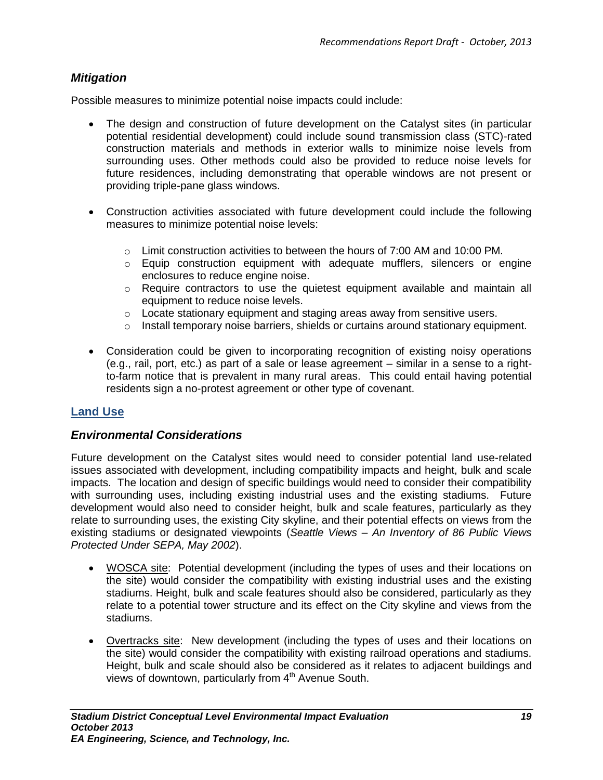# *Mitigation*

Possible measures to minimize potential noise impacts could include:

- The design and construction of future development on the Catalyst sites (in particular potential residential development) could include sound transmission class (STC)-rated construction materials and methods in exterior walls to minimize noise levels from surrounding uses. Other methods could also be provided to reduce noise levels for future residences, including demonstrating that operable windows are not present or providing triple-pane glass windows.
- Construction activities associated with future development could include the following measures to minimize potential noise levels:
	- $\circ$  Limit construction activities to between the hours of 7:00 AM and 10:00 PM.
	- $\circ$  Equip construction equipment with adequate mufflers, silencers or engine enclosures to reduce engine noise.
	- o Require contractors to use the quietest equipment available and maintain all equipment to reduce noise levels.
	- o Locate stationary equipment and staging areas away from sensitive users.
	- o Install temporary noise barriers, shields or curtains around stationary equipment.
- Consideration could be given to incorporating recognition of existing noisy operations (e.g., rail, port, etc.) as part of a sale or lease agreement – similar in a sense to a rightto-farm notice that is prevalent in many rural areas. This could entail having potential residents sign a no-protest agreement or other type of covenant.

### **Land Use**

### *Environmental Considerations*

Future development on the Catalyst sites would need to consider potential land use-related issues associated with development, including compatibility impacts and height, bulk and scale impacts. The location and design of specific buildings would need to consider their compatibility with surrounding uses, including existing industrial uses and the existing stadiums. Future development would also need to consider height, bulk and scale features, particularly as they relate to surrounding uses, the existing City skyline, and their potential effects on views from the existing stadiums or designated viewpoints (*Seattle Views – An Inventory of 86 Public Views Protected Under SEPA, May 2002*).

- WOSCA site: Potential development (including the types of uses and their locations on the site) would consider the compatibility with existing industrial uses and the existing stadiums. Height, bulk and scale features should also be considered, particularly as they relate to a potential tower structure and its effect on the City skyline and views from the stadiums.
- Overtracks site: New development (including the types of uses and their locations on the site) would consider the compatibility with existing railroad operations and stadiums. Height, bulk and scale should also be considered as it relates to adjacent buildings and views of downtown, particularly from  $4<sup>th</sup>$  Avenue South.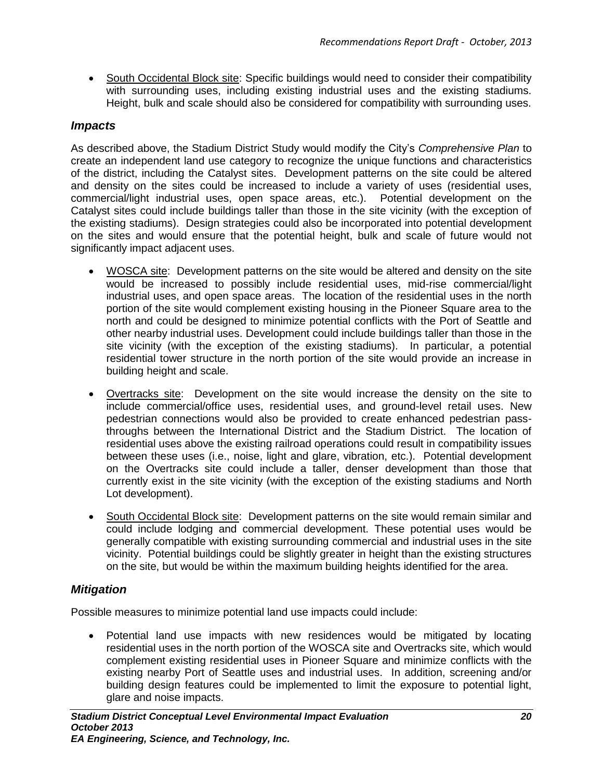South Occidental Block site: Specific buildings would need to consider their compatibility with surrounding uses, including existing industrial uses and the existing stadiums. Height, bulk and scale should also be considered for compatibility with surrounding uses.

### *Impacts*

As described above, the Stadium District Study would modify the City's *Comprehensive Plan* to create an independent land use category to recognize the unique functions and characteristics of the district, including the Catalyst sites. Development patterns on the site could be altered and density on the sites could be increased to include a variety of uses (residential uses, commercial/light industrial uses, open space areas, etc.). Potential development on the Catalyst sites could include buildings taller than those in the site vicinity (with the exception of the existing stadiums). Design strategies could also be incorporated into potential development on the sites and would ensure that the potential height, bulk and scale of future would not significantly impact adjacent uses.

- WOSCA site: Development patterns on the site would be altered and density on the site would be increased to possibly include residential uses, mid-rise commercial/light industrial uses, and open space areas. The location of the residential uses in the north portion of the site would complement existing housing in the Pioneer Square area to the north and could be designed to minimize potential conflicts with the Port of Seattle and other nearby industrial uses. Development could include buildings taller than those in the site vicinity (with the exception of the existing stadiums). In particular, a potential residential tower structure in the north portion of the site would provide an increase in building height and scale.
- Overtracks site: Development on the site would increase the density on the site to include commercial/office uses, residential uses, and ground-level retail uses. New pedestrian connections would also be provided to create enhanced pedestrian passthroughs between the International District and the Stadium District. The location of residential uses above the existing railroad operations could result in compatibility issues between these uses (i.e., noise, light and glare, vibration, etc.). Potential development on the Overtracks site could include a taller, denser development than those that currently exist in the site vicinity (with the exception of the existing stadiums and North Lot development).
- South Occidental Block site: Development patterns on the site would remain similar and could include lodging and commercial development. These potential uses would be generally compatible with existing surrounding commercial and industrial uses in the site vicinity. Potential buildings could be slightly greater in height than the existing structures on the site, but would be within the maximum building heights identified for the area.

### *Mitigation*

Possible measures to minimize potential land use impacts could include:

 Potential land use impacts with new residences would be mitigated by locating residential uses in the north portion of the WOSCA site and Overtracks site, which would complement existing residential uses in Pioneer Square and minimize conflicts with the existing nearby Port of Seattle uses and industrial uses. In addition, screening and/or building design features could be implemented to limit the exposure to potential light, glare and noise impacts.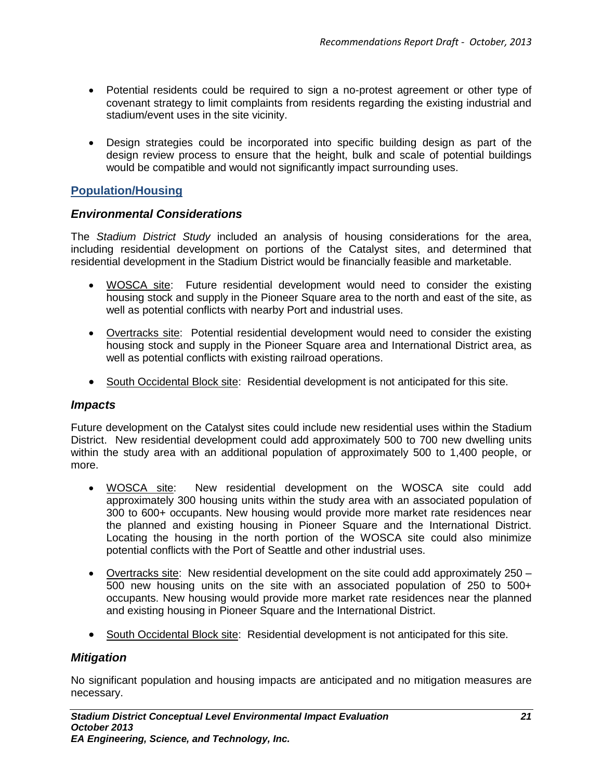- Potential residents could be required to sign a no-protest agreement or other type of covenant strategy to limit complaints from residents regarding the existing industrial and stadium/event uses in the site vicinity.
- Design strategies could be incorporated into specific building design as part of the design review process to ensure that the height, bulk and scale of potential buildings would be compatible and would not significantly impact surrounding uses.

### **Population/Housing**

### *Environmental Considerations*

The *Stadium District Study* included an analysis of housing considerations for the area, including residential development on portions of the Catalyst sites, and determined that residential development in the Stadium District would be financially feasible and marketable.

- WOSCA site: Future residential development would need to consider the existing housing stock and supply in the Pioneer Square area to the north and east of the site, as well as potential conflicts with nearby Port and industrial uses.
- Overtracks site: Potential residential development would need to consider the existing housing stock and supply in the Pioneer Square area and International District area, as well as potential conflicts with existing railroad operations.
- South Occidental Block site: Residential development is not anticipated for this site.

### *Impacts*

Future development on the Catalyst sites could include new residential uses within the Stadium District. New residential development could add approximately 500 to 700 new dwelling units within the study area with an additional population of approximately 500 to 1,400 people, or more.

- WOSCA site: New residential development on the WOSCA site could add approximately 300 housing units within the study area with an associated population of 300 to 600+ occupants. New housing would provide more market rate residences near the planned and existing housing in Pioneer Square and the International District. Locating the housing in the north portion of the WOSCA site could also minimize potential conflicts with the Port of Seattle and other industrial uses.
- Overtracks site: New residential development on the site could add approximately 250 500 new housing units on the site with an associated population of 250 to 500+ occupants. New housing would provide more market rate residences near the planned and existing housing in Pioneer Square and the International District.
- South Occidental Block site: Residential development is not anticipated for this site.

### *Mitigation*

No significant population and housing impacts are anticipated and no mitigation measures are necessary.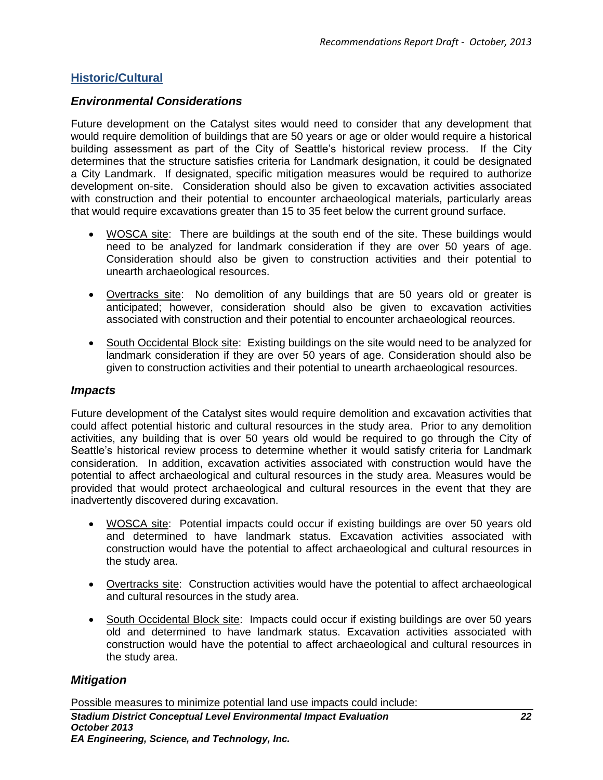# **Historic/Cultural**

# *Environmental Considerations*

Future development on the Catalyst sites would need to consider that any development that would require demolition of buildings that are 50 years or age or older would require a historical building assessment as part of the City of Seattle's historical review process. If the City determines that the structure satisfies criteria for Landmark designation, it could be designated a City Landmark. If designated, specific mitigation measures would be required to authorize development on-site. Consideration should also be given to excavation activities associated with construction and their potential to encounter archaeological materials, particularly areas that would require excavations greater than 15 to 35 feet below the current ground surface.

- WOSCA site: There are buildings at the south end of the site. These buildings would need to be analyzed for landmark consideration if they are over 50 years of age. Consideration should also be given to construction activities and their potential to unearth archaeological resources.
- Overtracks site: No demolition of any buildings that are 50 years old or greater is anticipated; however, consideration should also be given to excavation activities associated with construction and their potential to encounter archaeological reources.
- South Occidental Block site: Existing buildings on the site would need to be analyzed for landmark consideration if they are over 50 years of age. Consideration should also be given to construction activities and their potential to unearth archaeological resources.

### *Impacts*

Future development of the Catalyst sites would require demolition and excavation activities that could affect potential historic and cultural resources in the study area. Prior to any demolition activities, any building that is over 50 years old would be required to go through the City of Seattle's historical review process to determine whether it would satisfy criteria for Landmark consideration. In addition, excavation activities associated with construction would have the potential to affect archaeological and cultural resources in the study area. Measures would be provided that would protect archaeological and cultural resources in the event that they are inadvertently discovered during excavation.

- WOSCA site: Potential impacts could occur if existing buildings are over 50 years old and determined to have landmark status. Excavation activities associated with construction would have the potential to affect archaeological and cultural resources in the study area.
- Overtracks site: Construction activities would have the potential to affect archaeological and cultural resources in the study area.
- South Occidental Block site: Impacts could occur if existing buildings are over 50 years old and determined to have landmark status. Excavation activities associated with construction would have the potential to affect archaeological and cultural resources in the study area.

### *Mitigation*

Possible measures to minimize potential land use impacts could include: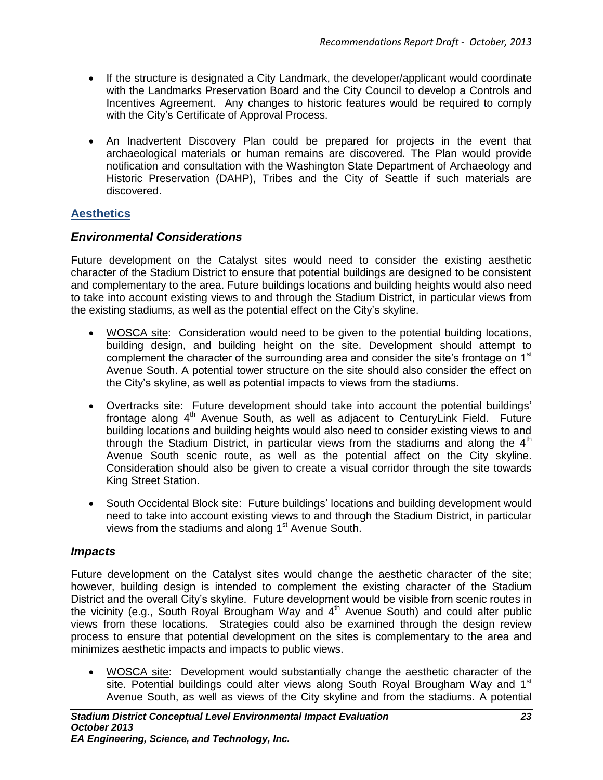- If the structure is designated a City Landmark, the developer/applicant would coordinate with the Landmarks Preservation Board and the City Council to develop a Controls and Incentives Agreement. Any changes to historic features would be required to comply with the City's Certificate of Approval Process.
- An Inadvertent Discovery Plan could be prepared for projects in the event that archaeological materials or human remains are discovered. The Plan would provide notification and consultation with the Washington State Department of Archaeology and Historic Preservation (DAHP), Tribes and the City of Seattle if such materials are discovered.

# **Aesthetics**

### *Environmental Considerations*

Future development on the Catalyst sites would need to consider the existing aesthetic character of the Stadium District to ensure that potential buildings are designed to be consistent and complementary to the area. Future buildings locations and building heights would also need to take into account existing views to and through the Stadium District, in particular views from the existing stadiums, as well as the potential effect on the City's skyline.

- WOSCA site: Consideration would need to be given to the potential building locations, building design, and building height on the site. Development should attempt to complement the character of the surrounding area and consider the site's frontage on 1<sup>st</sup> Avenue South. A potential tower structure on the site should also consider the effect on the City's skyline, as well as potential impacts to views from the stadiums.
- Overtracks site: Future development should take into account the potential buildings' frontage along  $4<sup>th</sup>$  Avenue South, as well as adjacent to CenturyLink Field. Future building locations and building heights would also need to consider existing views to and through the Stadium District, in particular views from the stadiums and along the  $4<sup>th</sup>$ Avenue South scenic route, as well as the potential affect on the City skyline. Consideration should also be given to create a visual corridor through the site towards King Street Station.
- South Occidental Block site: Future buildings' locations and building development would need to take into account existing views to and through the Stadium District, in particular views from the stadiums and along 1<sup>st</sup> Avenue South.

### *Impacts*

Future development on the Catalyst sites would change the aesthetic character of the site; however, building design is intended to complement the existing character of the Stadium District and the overall City's skyline. Future development would be visible from scenic routes in the vicinity (e.g., South Royal Brougham Way and 4th Avenue South) and could alter public views from these locations. Strategies could also be examined through the design review process to ensure that potential development on the sites is complementary to the area and minimizes aesthetic impacts and impacts to public views.

 WOSCA site: Development would substantially change the aesthetic character of the site. Potential buildings could alter views along South Royal Brougham Way and 1<sup>st</sup> Avenue South, as well as views of the City skyline and from the stadiums. A potential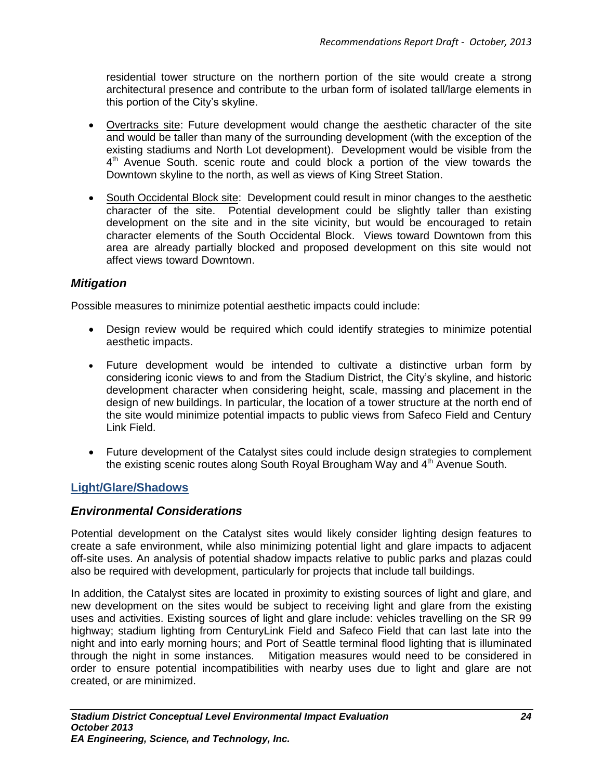residential tower structure on the northern portion of the site would create a strong architectural presence and contribute to the urban form of isolated tall/large elements in this portion of the City's skyline.

- Overtracks site: Future development would change the aesthetic character of the site and would be taller than many of the surrounding development (with the exception of the existing stadiums and North Lot development). Development would be visible from the 4<sup>th</sup> Avenue South. scenic route and could block a portion of the view towards the Downtown skyline to the north, as well as views of King Street Station.
- South Occidental Block site: Development could result in minor changes to the aesthetic character of the site. Potential development could be slightly taller than existing development on the site and in the site vicinity, but would be encouraged to retain character elements of the South Occidental Block. Views toward Downtown from this area are already partially blocked and proposed development on this site would not affect views toward Downtown.

### *Mitigation*

Possible measures to minimize potential aesthetic impacts could include:

- Design review would be required which could identify strategies to minimize potential aesthetic impacts.
- Future development would be intended to cultivate a distinctive urban form by considering iconic views to and from the Stadium District, the City's skyline, and historic development character when considering height, scale, massing and placement in the design of new buildings. In particular, the location of a tower structure at the north end of the site would minimize potential impacts to public views from Safeco Field and Century Link Field.
- Future development of the Catalyst sites could include design strategies to complement the existing scenic routes along South Royal Brougham Way and 4<sup>th</sup> Avenue South.

### **Light/Glare/Shadows**

### *Environmental Considerations*

Potential development on the Catalyst sites would likely consider lighting design features to create a safe environment, while also minimizing potential light and glare impacts to adjacent off-site uses. An analysis of potential shadow impacts relative to public parks and plazas could also be required with development, particularly for projects that include tall buildings.

In addition, the Catalyst sites are located in proximity to existing sources of light and glare, and new development on the sites would be subject to receiving light and glare from the existing uses and activities. Existing sources of light and glare include: vehicles travelling on the SR 99 highway; stadium lighting from CenturyLink Field and Safeco Field that can last late into the night and into early morning hours; and Port of Seattle terminal flood lighting that is illuminated through the night in some instances. Mitigation measures would need to be considered in order to ensure potential incompatibilities with nearby uses due to light and glare are not created, or are minimized.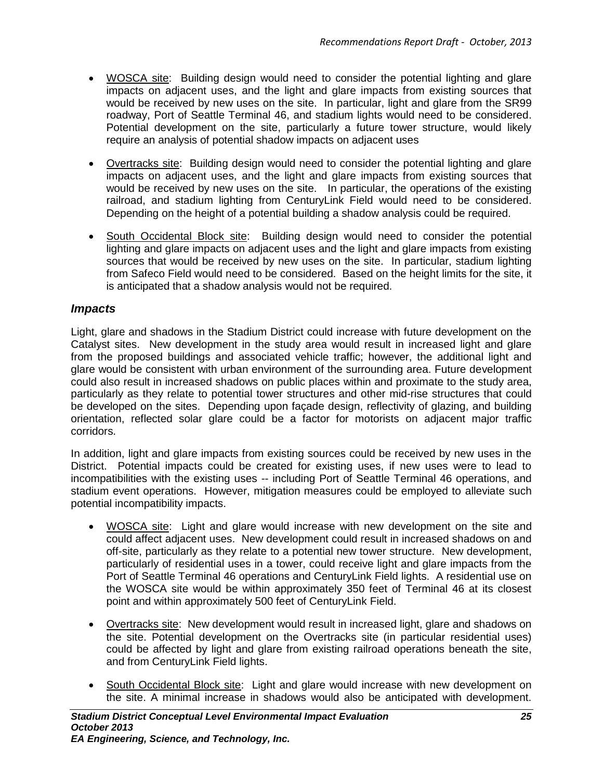- WOSCA site: Building design would need to consider the potential lighting and glare impacts on adjacent uses, and the light and glare impacts from existing sources that would be received by new uses on the site. In particular, light and glare from the SR99 roadway, Port of Seattle Terminal 46, and stadium lights would need to be considered. Potential development on the site, particularly a future tower structure, would likely require an analysis of potential shadow impacts on adjacent uses
- Overtracks site: Building design would need to consider the potential lighting and glare impacts on adjacent uses, and the light and glare impacts from existing sources that would be received by new uses on the site. In particular, the operations of the existing railroad, and stadium lighting from CenturyLink Field would need to be considered. Depending on the height of a potential building a shadow analysis could be required.
- South Occidental Block site: Building design would need to consider the potential lighting and glare impacts on adjacent uses and the light and glare impacts from existing sources that would be received by new uses on the site. In particular, stadium lighting from Safeco Field would need to be considered. Based on the height limits for the site, it is anticipated that a shadow analysis would not be required.

### *Impacts*

Light, glare and shadows in the Stadium District could increase with future development on the Catalyst sites. New development in the study area would result in increased light and glare from the proposed buildings and associated vehicle traffic; however, the additional light and glare would be consistent with urban environment of the surrounding area. Future development could also result in increased shadows on public places within and proximate to the study area, particularly as they relate to potential tower structures and other mid-rise structures that could be developed on the sites. Depending upon façade design, reflectivity of glazing, and building orientation, reflected solar glare could be a factor for motorists on adjacent major traffic corridors.

In addition, light and glare impacts from existing sources could be received by new uses in the District. Potential impacts could be created for existing uses, if new uses were to lead to incompatibilities with the existing uses -- including Port of Seattle Terminal 46 operations, and stadium event operations. However, mitigation measures could be employed to alleviate such potential incompatibility impacts.

- WOSCA site: Light and glare would increase with new development on the site and could affect adjacent uses. New development could result in increased shadows on and off-site, particularly as they relate to a potential new tower structure. New development, particularly of residential uses in a tower, could receive light and glare impacts from the Port of Seattle Terminal 46 operations and CenturyLink Field lights. A residential use on the WOSCA site would be within approximately 350 feet of Terminal 46 at its closest point and within approximately 500 feet of CenturyLink Field.
- Overtracks site: New development would result in increased light, glare and shadows on the site. Potential development on the Overtracks site (in particular residential uses) could be affected by light and glare from existing railroad operations beneath the site, and from CenturyLink Field lights.
- South Occidental Block site: Light and glare would increase with new development on the site. A minimal increase in shadows would also be anticipated with development.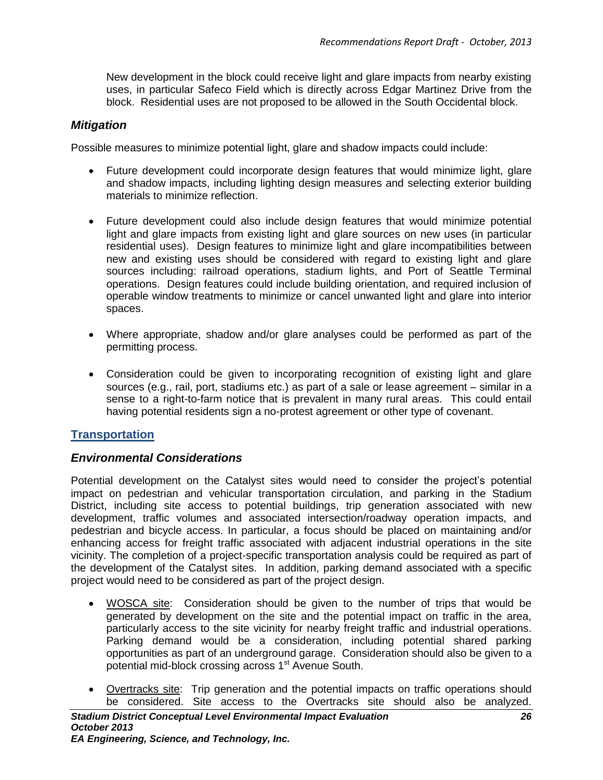New development in the block could receive light and glare impacts from nearby existing uses, in particular Safeco Field which is directly across Edgar Martinez Drive from the block. Residential uses are not proposed to be allowed in the South Occidental block.

### *Mitigation*

Possible measures to minimize potential light, glare and shadow impacts could include:

- Future development could incorporate design features that would minimize light, glare and shadow impacts, including lighting design measures and selecting exterior building materials to minimize reflection.
- Future development could also include design features that would minimize potential light and glare impacts from existing light and glare sources on new uses (in particular residential uses). Design features to minimize light and glare incompatibilities between new and existing uses should be considered with regard to existing light and glare sources including: railroad operations, stadium lights, and Port of Seattle Terminal operations. Design features could include building orientation, and required inclusion of operable window treatments to minimize or cancel unwanted light and glare into interior spaces.
- Where appropriate, shadow and/or glare analyses could be performed as part of the permitting process.
- Consideration could be given to incorporating recognition of existing light and glare sources (e.g., rail, port, stadiums etc.) as part of a sale or lease agreement – similar in a sense to a right-to-farm notice that is prevalent in many rural areas. This could entail having potential residents sign a no-protest agreement or other type of covenant.

### **Transportation**

### *Environmental Considerations*

Potential development on the Catalyst sites would need to consider the project's potential impact on pedestrian and vehicular transportation circulation, and parking in the Stadium District, including site access to potential buildings, trip generation associated with new development, traffic volumes and associated intersection/roadway operation impacts, and pedestrian and bicycle access. In particular, a focus should be placed on maintaining and/or enhancing access for freight traffic associated with adjacent industrial operations in the site vicinity. The completion of a project-specific transportation analysis could be required as part of the development of the Catalyst sites. In addition, parking demand associated with a specific project would need to be considered as part of the project design.

- WOSCA site: Consideration should be given to the number of trips that would be generated by development on the site and the potential impact on traffic in the area, particularly access to the site vicinity for nearby freight traffic and industrial operations. Parking demand would be a consideration, including potential shared parking opportunities as part of an underground garage. Consideration should also be given to a potential mid-block crossing across 1<sup>st</sup> Avenue South.
- Overtracks site: Trip generation and the potential impacts on traffic operations should be considered. Site access to the Overtracks site should also be analyzed.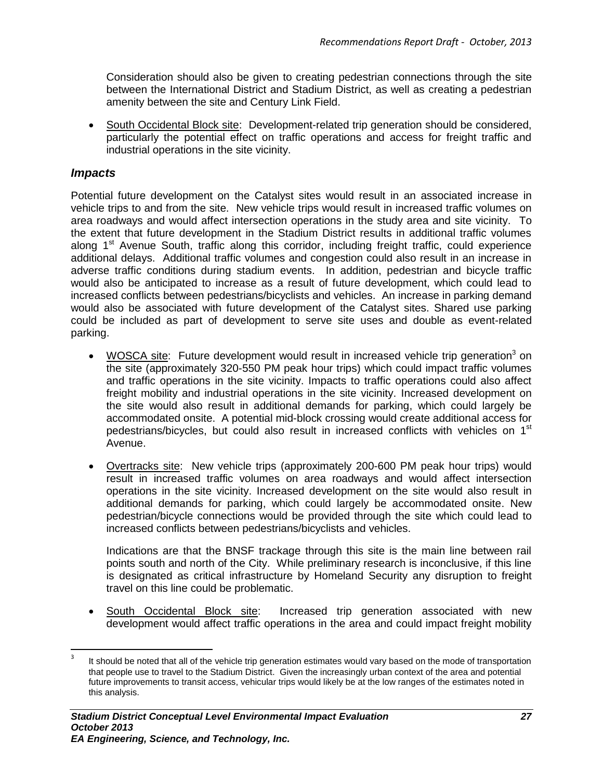Consideration should also be given to creating pedestrian connections through the site between the International District and Stadium District, as well as creating a pedestrian amenity between the site and Century Link Field.

• South Occidental Block site: Development-related trip generation should be considered, particularly the potential effect on traffic operations and access for freight traffic and industrial operations in the site vicinity.

### *Impacts*

 $\overline{a}$ 

Potential future development on the Catalyst sites would result in an associated increase in vehicle trips to and from the site. New vehicle trips would result in increased traffic volumes on area roadways and would affect intersection operations in the study area and site vicinity. To the extent that future development in the Stadium District results in additional traffic volumes along 1<sup>st</sup> Avenue South, traffic along this corridor, including freight traffic, could experience additional delays. Additional traffic volumes and congestion could also result in an increase in adverse traffic conditions during stadium events. In addition, pedestrian and bicycle traffic would also be anticipated to increase as a result of future development, which could lead to increased conflicts between pedestrians/bicyclists and vehicles. An increase in parking demand would also be associated with future development of the Catalyst sites. Shared use parking could be included as part of development to serve site uses and double as event-related parking.

- WOSCA site: Future development would result in increased vehicle trip generation<sup>3</sup> on the site (approximately 320-550 PM peak hour trips) which could impact traffic volumes and traffic operations in the site vicinity. Impacts to traffic operations could also affect freight mobility and industrial operations in the site vicinity. Increased development on the site would also result in additional demands for parking, which could largely be accommodated onsite. A potential mid-block crossing would create additional access for pedestrians/bicycles, but could also result in increased conflicts with vehicles on 1<sup>st</sup> Avenue.
- Overtracks site: New vehicle trips (approximately 200-600 PM peak hour trips) would result in increased traffic volumes on area roadways and would affect intersection operations in the site vicinity. Increased development on the site would also result in additional demands for parking, which could largely be accommodated onsite. New pedestrian/bicycle connections would be provided through the site which could lead to increased conflicts between pedestrians/bicyclists and vehicles.

Indications are that the BNSF trackage through this site is the main line between rail points south and north of the City. While preliminary research is inconclusive, if this line is designated as critical infrastructure by Homeland Security any disruption to freight travel on this line could be problematic.

South Occidental Block site: Increased trip generation associated with new development would affect traffic operations in the area and could impact freight mobility

<sup>3</sup> It should be noted that all of the vehicle trip generation estimates would vary based on the mode of transportation that people use to travel to the Stadium District. Given the increasingly urban context of the area and potential future improvements to transit access, vehicular trips would likely be at the low ranges of the estimates noted in this analysis.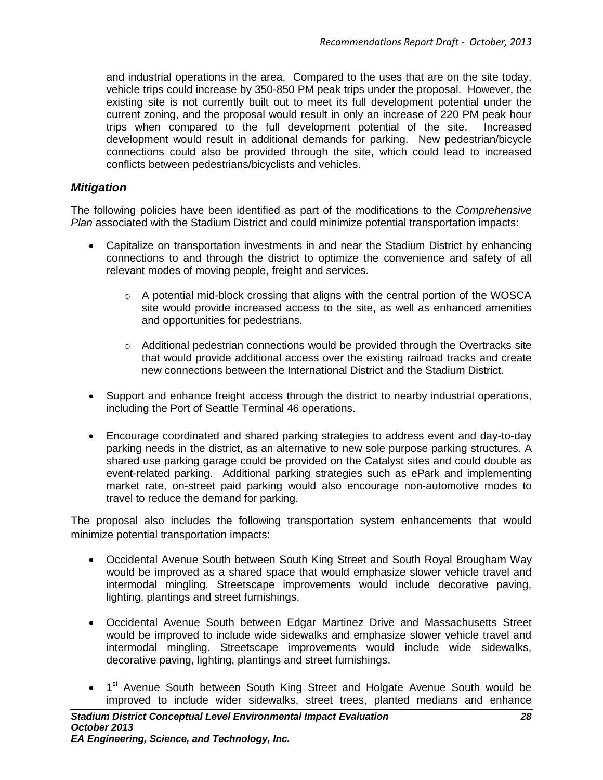and industrial operations in the area. Compared to the uses that are on the site today, vehicle trips could increase by 350-850 PM peak trips under the proposal. However, the existing site is not currently built out to meet its full development potential under the current zoning, and the proposal would result in only an increase of 220 PM peak hour trips when compared to the full development potential of the site. Increased development would result in additional demands for parking. New pedestrian/bicycle connections could also be provided through the site, which could lead to increased conflicts between pedestrians/bicyclists and vehicles.

### *Mitigation*

The following policies have been identified as part of the modifications to the *Comprehensive Plan* associated with the Stadium District and could minimize potential transportation impacts:

- Capitalize on transportation investments in and near the Stadium District by enhancing connections to and through the district to optimize the convenience and safety of all relevant modes of moving people, freight and services.
	- $\circ$  A potential mid-block crossing that aligns with the central portion of the WOSCA site would provide increased access to the site, as well as enhanced amenities and opportunities for pedestrians.
	- $\circ$  Additional pedestrian connections would be provided through the Overtracks site that would provide additional access over the existing railroad tracks and create new connections between the International District and the Stadium District.
- Support and enhance freight access through the district to nearby industrial operations, including the Port of Seattle Terminal 46 operations.
- Encourage coordinated and shared parking strategies to address event and day-to-day parking needs in the district, as an alternative to new sole purpose parking structures. A shared use parking garage could be provided on the Catalyst sites and could double as event-related parking. Additional parking strategies such as ePark and implementing market rate, on-street paid parking would also encourage non-automotive modes to travel to reduce the demand for parking.

The proposal also includes the following transportation system enhancements that would minimize potential transportation impacts:

- Occidental Avenue South between South King Street and South Royal Brougham Way would be improved as a shared space that would emphasize slower vehicle travel and intermodal mingling. Streetscape improvements would include decorative paving, lighting, plantings and street furnishings.
- Occidental Avenue South between Edgar Martinez Drive and Massachusetts Street would be improved to include wide sidewalks and emphasize slower vehicle travel and intermodal mingling. Streetscape improvements would include wide sidewalks, decorative paving, lighting, plantings and street furnishings.
- 1<sup>st</sup> Avenue South between South King Street and Holgate Avenue South would be improved to include wider sidewalks, street trees, planted medians and enhance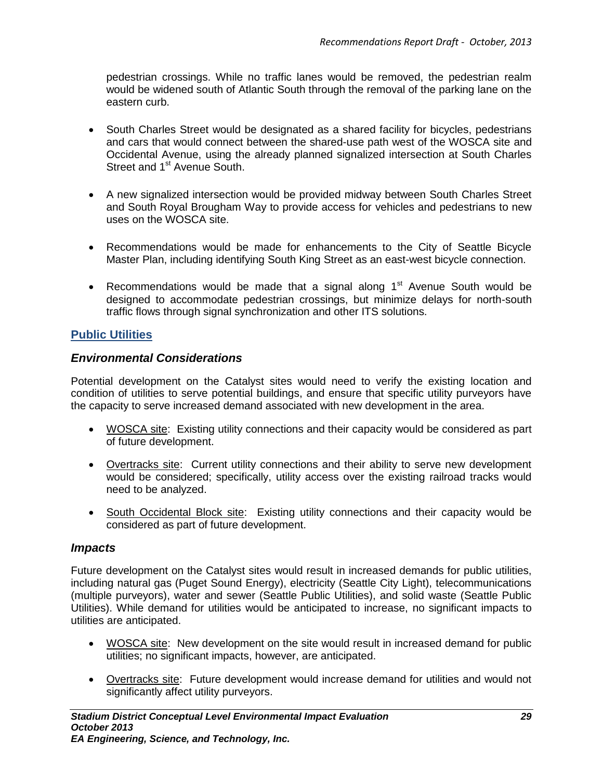pedestrian crossings. While no traffic lanes would be removed, the pedestrian realm would be widened south of Atlantic South through the removal of the parking lane on the eastern curb.

- South Charles Street would be designated as a shared facility for bicycles, pedestrians and cars that would connect between the shared-use path west of the WOSCA site and Occidental Avenue, using the already planned signalized intersection at South Charles Street and 1<sup>st</sup> Avenue South.
- A new signalized intersection would be provided midway between South Charles Street and South Royal Brougham Way to provide access for vehicles and pedestrians to new uses on the WOSCA site.
- Recommendations would be made for enhancements to the City of Seattle Bicycle Master Plan, including identifying South King Street as an east-west bicycle connection.
- Recommendations would be made that a signal along  $1<sup>st</sup>$  Avenue South would be designed to accommodate pedestrian crossings, but minimize delays for north-south traffic flows through signal synchronization and other ITS solutions.

### **Public Utilities**

### *Environmental Considerations*

Potential development on the Catalyst sites would need to verify the existing location and condition of utilities to serve potential buildings, and ensure that specific utility purveyors have the capacity to serve increased demand associated with new development in the area.

- WOSCA site: Existing utility connections and their capacity would be considered as part of future development.
- Overtracks site: Current utility connections and their ability to serve new development would be considered; specifically, utility access over the existing railroad tracks would need to be analyzed.
- South Occidental Block site: Existing utility connections and their capacity would be considered as part of future development.

### *Impacts*

Future development on the Catalyst sites would result in increased demands for public utilities, including natural gas (Puget Sound Energy), electricity (Seattle City Light), telecommunications (multiple purveyors), water and sewer (Seattle Public Utilities), and solid waste (Seattle Public Utilities). While demand for utilities would be anticipated to increase, no significant impacts to utilities are anticipated.

- WOSCA site: New development on the site would result in increased demand for public utilities; no significant impacts, however, are anticipated.
- Overtracks site: Future development would increase demand for utilities and would not significantly affect utility purveyors.